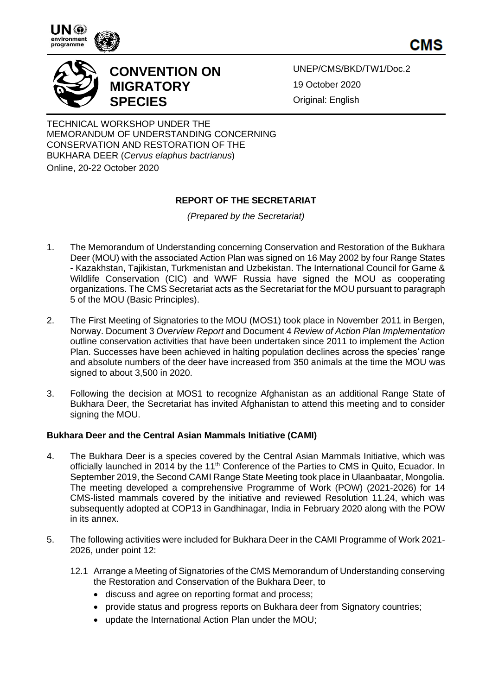



# **CONVENTION ON MIGRATORY SPECIES**

UNEP/CMS/BKD/TW1/Doc.2 19 October 2020 Original: English

TECHNICAL WORKSHOP UNDER THE MEMORANDUM OF UNDERSTANDING CONCERNING CONSERVATION AND RESTORATION OF THE BUKHARA DEER (*Cervus elaphus bactrianus*)

Online, 20-22 October 2020

## **REPORT OF THE SECRETARIAT**

*(Prepared by the Secretariat)*

- 1. The Memorandum of Understanding concerning Conservation and Restoration of the Bukhara Deer (MOU) with the associated Action Plan was signed on 16 May 2002 by four Range States - Kazakhstan, Tajikistan, Turkmenistan and Uzbekistan. The International Council for Game & Wildlife Conservation (CIC) and WWF Russia have signed the MOU as cooperating organizations. The CMS Secretariat acts as the Secretariat for the MOU pursuant to paragraph 5 of the MOU (Basic Principles).
- 2. The First Meeting of Signatories to the MOU (MOS1) took place in November 2011 in Bergen, Norway. Document 3 *Overview Report* and Document 4 *Review of Action Plan Implementation* outline conservation activities that have been undertaken since 2011 to implement the Action Plan. Successes have been achieved in halting population declines across the species' range and absolute numbers of the deer have increased from 350 animals at the time the MOU was signed to about 3,500 in 2020.
- 3. Following the decision at MOS1 to recognize Afghanistan as an additional Range State of Bukhara Deer, the Secretariat has invited Afghanistan to attend this meeting and to consider signing the MOU.

### **Bukhara Deer and the Central Asian Mammals Initiative (CAMI)**

- 4. The Bukhara Deer is a species covered by the Central Asian Mammals Initiative, which was officially launched in 2014 by the 11<sup>th</sup> Conference of the Parties to CMS in Quito, Ecuador. In September 2019, the Second CAMI Range State Meeting took place in Ulaanbaatar, Mongolia. The meeting developed a comprehensive Programme of Work (POW) (2021-2026) for 14 CMS-listed mammals covered by the initiative and reviewed Resolution 11.24, which was subsequently adopted at COP13 in Gandhinagar, India in February 2020 along with the POW in its annex.
- 5. The following activities were included for Bukhara Deer in the CAMI Programme of Work 2021- 2026, under point 12:
	- 12.1 Arrange a Meeting of Signatories of the CMS Memorandum of Understanding conserving the Restoration and Conservation of the Bukhara Deer, to
		- discuss and agree on reporting format and process;
		- provide status and progress reports on Bukhara deer from Signatory countries;
		- update the International Action Plan under the MOU;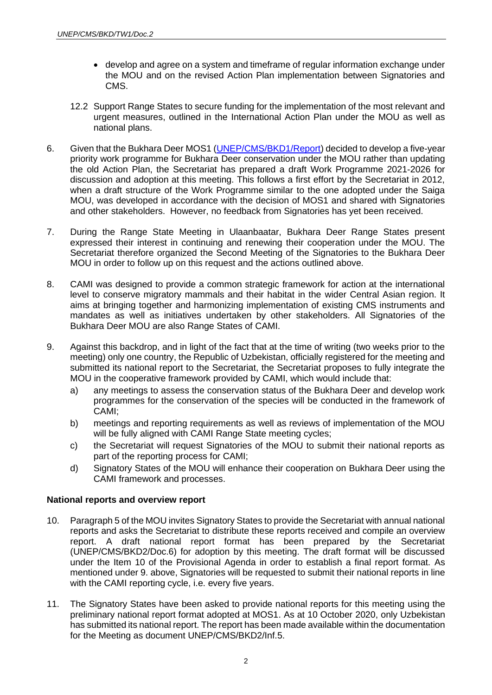- develop and agree on a system and timeframe of regular information exchange under the MOU and on the revised Action Plan implementation between Signatories and CMS.
- 12.2 Support Range States to secure funding for the implementation of the most relevant and urgent measures, outlined in the International Action Plan under the MOU as well as national plans.
- 6. Given that the Bukhara Deer MOS1 [\(UNEP/CMS/BKD1/Report\)](https://www.cms.int/bukhara-deer/en/meeting/first-meeting-signatories) decided to develop a five-year priority work programme for Bukhara Deer conservation under the MOU rather than updating the old Action Plan, the Secretariat has prepared a draft Work Programme 2021-2026 for discussion and adoption at this meeting. This follows a first effort by the Secretariat in 2012, when a draft structure of the Work Programme similar to the one adopted under the Saiga MOU, was developed in accordance with the decision of MOS1 and shared with Signatories and other stakeholders. However, no feedback from Signatories has yet been received.
- 7. During the Range State Meeting in Ulaanbaatar, Bukhara Deer Range States present expressed their interest in continuing and renewing their cooperation under the MOU. The Secretariat therefore organized the Second Meeting of the Signatories to the Bukhara Deer MOU in order to follow up on this request and the actions outlined above.
- 8. CAMI was designed to provide a common strategic framework for action at the international level to conserve migratory mammals and their habitat in the wider Central Asian region. It aims at bringing together and harmonizing implementation of existing CMS instruments and mandates as well as initiatives undertaken by other stakeholders. All Signatories of the Bukhara Deer MOU are also Range States of CAMI.
- 9. Against this backdrop, and in light of the fact that at the time of writing (two weeks prior to the meeting) only one country, the Republic of Uzbekistan, officially registered for the meeting and submitted its national report to the Secretariat, the Secretariat proposes to fully integrate the MOU in the cooperative framework provided by CAMI, which would include that:
	- a) any meetings to assess the conservation status of the Bukhara Deer and develop work programmes for the conservation of the species will be conducted in the framework of CAMI;
	- b) meetings and reporting requirements as well as reviews of implementation of the MOU will be fully aligned with CAMI Range State meeting cycles;
	- c) the Secretariat will request Signatories of the MOU to submit their national reports as part of the reporting process for CAMI;
	- d) Signatory States of the MOU will enhance their cooperation on Bukhara Deer using the CAMI framework and processes.

#### **National reports and overview report**

- 10. Paragraph 5 of the MOU invites Signatory States to provide the Secretariat with annual national reports and asks the Secretariat to distribute these reports received and compile an overview report. A draft national report format has been prepared by the Secretariat (UNEP/CMS/BKD2/Doc.6) for adoption by this meeting. The draft format will be discussed under the Item 10 of the Provisional Agenda in order to establish a final report format. As mentioned under 9. above, Signatories will be requested to submit their national reports in line with the CAMI reporting cycle, i.e. every five years.
- 11. The Signatory States have been asked to provide national reports for this meeting using the preliminary national report format adopted at MOS1. As at 10 October 2020, only Uzbekistan has submitted its national report. The report has been made available within the documentation for the Meeting as document UNEP/CMS/BKD2/Inf.5.